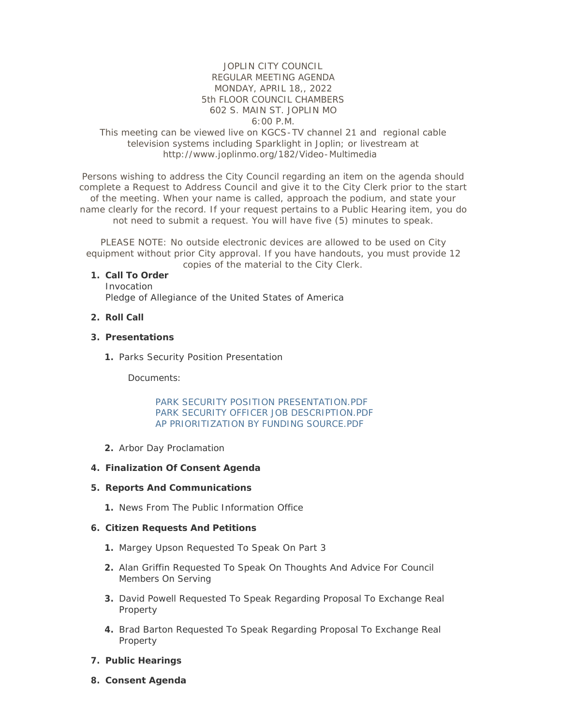#### JOPLIN CITY COUNCIL REGULAR MEETING AGENDA MONDAY, APRIL 18,, 2022 5th FLOOR COUNCIL CHAMBERS 602 S. MAIN ST. JOPLIN MO 6:00 P.M.

## This meeting can be viewed live on KGCS-TV channel 21 and regional cable television systems including Sparklight in Joplin; or livestream at http://www.joplinmo.org/182/Video-Multimedia

Persons wishing to address the City Council regarding an item on the agenda should complete a Request to Address Council and give it to the City Clerk prior to the start of the meeting. When your name is called, approach the podium, and state your name clearly for the record. If your request pertains to a Public Hearing item, you do not need to submit a request. You will have five (5) minutes to speak.

PLEASE NOTE: No outside electronic devices are allowed to be used on City equipment without prior City approval. If you have handouts, you must provide 12 copies of the material to the City Clerk.

#### **Call To Order 1.**

Invocation Pledge of Allegiance of the United States of America

## **Roll Call 2.**

#### **Presentations 3.**

1. Parks Security Position Presentation

Documents:

#### [PARK SECURITY POSITION PRESENTATION.PDF](http://www.joplinmo.org/AgendaCenter/ViewFile/Item/8467?fileID=50648) [PARK SECURITY OFFICER JOB DESCRIPTION.PDF](http://www.joplinmo.org/AgendaCenter/ViewFile/Item/8467?fileID=50649) [AP PRIORITIZATION BY FUNDING SOURCE.PDF](http://www.joplinmo.org/AgendaCenter/ViewFile/Item/8467?fileID=50650)

2. Arbor Day Proclamation

#### **Finalization Of Consent Agenda 4.**

#### **Reports And Communications 5.**

1. News From The Public Information Office

#### **Citizen Requests And Petitions 6.**

- 1. Margey Upson Requested To Speak On Part 3
- Alan Griffin Requested To Speak On Thoughts And Advice For Council **2.** Members On Serving
- **3.** David Powell Requested To Speak Regarding Proposal To Exchange Real Property
- 4. Brad Barton Requested To Speak Regarding Proposal To Exchange Real Property
- **Public Hearings 7.**
- **Consent Agenda 8.**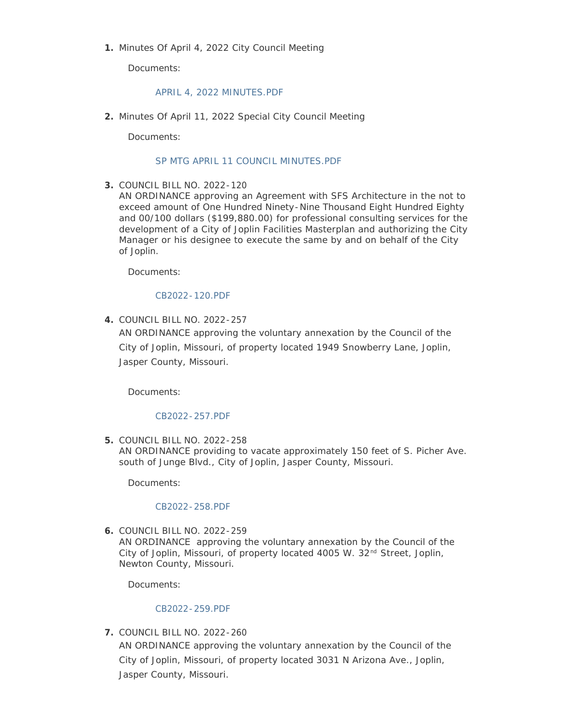1. Minutes Of April 4, 2022 City Council Meeting

Documents:

## [APRIL 4, 2022 MINUTES.PDF](http://www.joplinmo.org/AgendaCenter/ViewFile/Item/8469?fileID=50667)

Minutes Of April 11, 2022 Special City Council Meeting **2.**

Documents:

## [SP MTG APRIL 11 COUNCIL MINUTES.PDF](http://www.joplinmo.org/AgendaCenter/ViewFile/Item/8470?fileID=50668)

COUNCIL BILL NO. 2022-120 **3.**

AN ORDINANCE approving an Agreement with SFS Architecture in the not to exceed amount of One Hundred Ninety-Nine Thousand Eight Hundred Eighty and 00/100 dollars (\$199,880.00) for professional consulting services for the development of a City of Joplin Facilities Masterplan and authorizing the City Manager or his designee to execute the same by and on behalf of the City of Joplin.

Documents:

## [CB2022-120.PDF](http://www.joplinmo.org/AgendaCenter/ViewFile/Item/8444?fileID=50493)

COUNCIL BILL NO. 2022-257 **4.**

AN ORDINANCE approving the voluntary annexation by the Council of the City of Joplin, Missouri, of property located 1949 Snowberry Lane, Joplin, Jasper County, Missouri.

Documents:

## [CB2022-257.PDF](http://www.joplinmo.org/AgendaCenter/ViewFile/Item/8445?fileID=50494)

COUNCIL BILL NO. 2022-258 **5.**

AN ORDINANCE providing to vacate approximately 150 feet of S. Picher Ave. south of Junge Blvd., City of Joplin, Jasper County, Missouri.

Documents:

#### [CB2022-258.PDF](http://www.joplinmo.org/AgendaCenter/ViewFile/Item/8446?fileID=50495)

COUNCIL BILL NO. 2022-259 **6.**

AN ORDINANCE approving the voluntary annexation by the Council of the City of Joplin, Missouri, of property located 4005 W.  $32<sup>nd</sup>$  Street, Joplin, Newton County, Missouri.

Documents:

#### [CB2022-259.PDF](http://www.joplinmo.org/AgendaCenter/ViewFile/Item/8447?fileID=50496)

COUNCIL BILL NO. 2022-260 **7.** AN ORDINANCE approving the voluntary annexation by the Council of the City of Joplin, Missouri, of property located 3031 N Arizona Ave., Joplin, Jasper County, Missouri.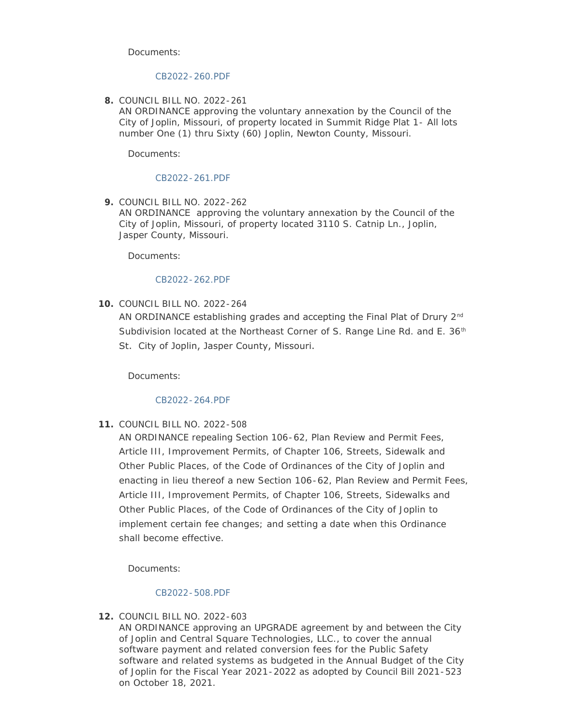Documents:

## [CB2022-260.PDF](http://www.joplinmo.org/AgendaCenter/ViewFile/Item/8448?fileID=50497)

COUNCIL BILL NO. 2022-261 **8.**

AN ORDINANCE approving the voluntary annexation by the Council of the City of Joplin, Missouri, of property located in Summit Ridge Plat 1- All lots number One (1) thru Sixty (60) Joplin, Newton County, Missouri.

Documents:

#### [CB2022-261.PDF](http://www.joplinmo.org/AgendaCenter/ViewFile/Item/8449?fileID=50498)

COUNCIL BILL NO. 2022-262 **9.** AN ORDINANCE approving the voluntary annexation by the Council of the City of Joplin, Missouri, of property located 3110 S. Catnip Ln., Joplin, Jasper County, Missouri.

Documents:

## [CB2022-262.PDF](http://www.joplinmo.org/AgendaCenter/ViewFile/Item/8450?fileID=50499)

**10. COUNCIL BILL NO. 2022-264** 

AN ORDINANCE establishing grades and accepting the Final Plat of Drury 2<sup>nd</sup> Subdivision located at the Northeast Corner of S. Range Line Rd. and E.  $36<sup>th</sup>$ St. City of Joplin, Jasper County, Missouri.

Documents:

#### [CB2022-264.PDF](http://www.joplinmo.org/AgendaCenter/ViewFile/Item/8452?fileID=50501)

**11. COUNCIL BILL NO. 2022-508** 

AN ORDINANCE repealing Section 106-62, Plan Review and Permit Fees, Article III, Improvement Permits, of Chapter 106, Streets, Sidewalk and Other Public Places, of the Code of Ordinances of the City of Joplin and enacting in lieu thereof a new Section 106-62, Plan Review and Permit Fees, Article III, Improvement Permits, of Chapter 106, Streets, Sidewalks and Other Public Places, of the Code of Ordinances of the City of Joplin to implement certain fee changes; and setting a date when this Ordinance shall become effective.

Documents:

#### [CB2022-508.PDF](http://www.joplinmo.org/AgendaCenter/ViewFile/Item/8453?fileID=50502)

COUNCIL BILL NO. 2022-603 **12.**

AN ORDINANCE approving an UPGRADE agreement by and between the City of Joplin and Central Square Technologies, LLC., to cover the annual software payment and related conversion fees for the Public Safety software and related systems as budgeted in the Annual Budget of the City of Joplin for the Fiscal Year 2021-2022 as adopted by Council Bill 2021-523 on October 18, 2021.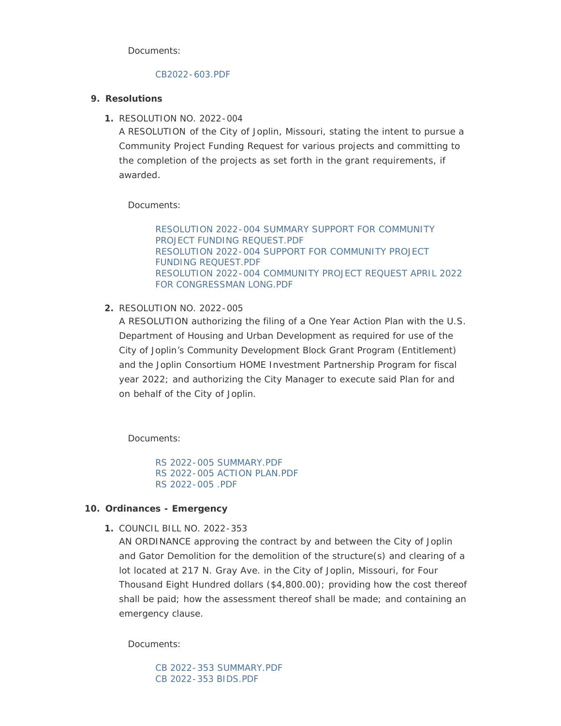Documents:

## [CB2022-603.PDF](http://www.joplinmo.org/AgendaCenter/ViewFile/Item/8454?fileID=50503)

# **Resolutions 9.**

1. RESOLUTION NO. 2022-004

A RESOLUTION of the City of Joplin, Missouri, stating the intent to pursue a Community Project Funding Request for various projects and committing to the completion of the projects as set forth in the grant requirements, if awarded.

Documents:

[RESOLUTION 2022-004 SUMMARY SUPPORT FOR COMMUNITY](http://www.joplinmo.org/AgendaCenter/ViewFile/Item/8455?fileID=50577)  PROJECT FUNDING REQUEST.PDF [RESOLUTION 2022-004 SUPPORT FOR COMMUNITY PROJECT](http://www.joplinmo.org/AgendaCenter/ViewFile/Item/8455?fileID=50578)  FUNDING REQUEST.PDF [RESOLUTION 2022-004 COMMUNITY PROJECT REQUEST APRIL 2022](http://www.joplinmo.org/AgendaCenter/ViewFile/Item/8455?fileID=50579)  FOR CONGRESSMAN LONG.PDF

# RESOLUTION NO. 2022-005 **2.**

A RESOLUTION authorizing the filing of a One Year Action Plan with the U.S. Department of Housing and Urban Development as required for use of the City of Joplin's Community Development Block Grant Program (Entitlement) and the Joplin Consortium HOME Investment Partnership Program for fiscal year 2022; and authorizing the City Manager to execute said Plan for and on behalf of the City of Joplin.

Documents:

[RS 2022-005 SUMMARY.PDF](http://www.joplinmo.org/AgendaCenter/ViewFile/Item/8466?fileID=50628) [RS 2022-005 ACTION PLAN.PDF](http://www.joplinmo.org/AgendaCenter/ViewFile/Item/8466?fileID=50627) [RS 2022-005 .PDF](http://www.joplinmo.org/AgendaCenter/ViewFile/Item/8466?fileID=50629)

# **Ordinances - Emergency 10.**

COUNCIL BILL NO. 2022-353 **1.**

AN ORDINANCE approving the contract by and between the City of Joplin and Gator Demolition for the demolition of the structure(s) and clearing of a lot located at 217 N. Gray Ave. in the City of Joplin, Missouri, for Four Thousand Eight Hundred dollars (\$4,800.00); providing how the cost thereof shall be paid; how the assessment thereof shall be made; and containing an emergency clause.

Documents:

[CB 2022-353 SUMMARY.PDF](http://www.joplinmo.org/AgendaCenter/ViewFile/Item/8458?fileID=50614) [CB 2022-353 BIDS.PDF](http://www.joplinmo.org/AgendaCenter/ViewFile/Item/8458?fileID=50591)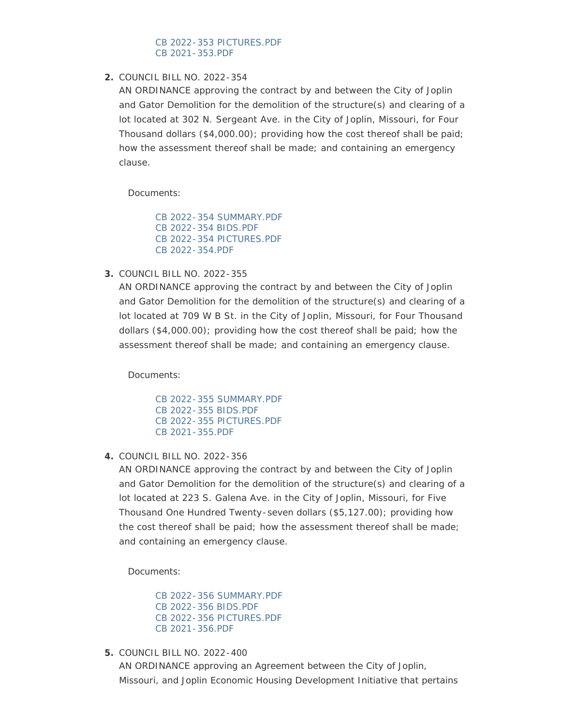## [CB 2022-353 PICTURES.PDF](http://www.joplinmo.org/AgendaCenter/ViewFile/Item/8458?fileID=50613) [CB 2021-353.PDF](http://www.joplinmo.org/AgendaCenter/ViewFile/Item/8458?fileID=50612)

# COUNCIL BILL NO. 2022-354 **2.**

AN ORDINANCE approving the contract by and between the City of Joplin and Gator Demolition for the demolition of the structure(s) and clearing of a lot located at 302 N. Sergeant Ave. in the City of Joplin, Missouri, for Four Thousand dollars (\$4,000.00); providing how the cost thereof shall be paid; how the assessment thereof shall be made; and containing an emergency clause.

Documents:

[CB 2022-354 SUMMARY.PDF](http://www.joplinmo.org/AgendaCenter/ViewFile/Item/8459?fileID=50616) [CB 2022-354 BIDS.PDF](http://www.joplinmo.org/AgendaCenter/ViewFile/Item/8459?fileID=50594) [CB 2022-354 PICTURES.PDF](http://www.joplinmo.org/AgendaCenter/ViewFile/Item/8459?fileID=50630) [CB 2022-354.PDF](http://www.joplinmo.org/AgendaCenter/ViewFile/Item/8459?fileID=50617)

COUNCIL BILL NO. 2022-355 **3.**

AN ORDINANCE approving the contract by and between the City of Joplin and Gator Demolition for the demolition of the structure(s) and clearing of a lot located at 709 W B St. in the City of Joplin, Missouri, for Four Thousand dollars (\$4,000.00); providing how the cost thereof shall be paid; how the assessment thereof shall be made; and containing an emergency clause.

Documents:

[CB 2022-355 SUMMARY.PDF](http://www.joplinmo.org/AgendaCenter/ViewFile/Item/8460?fileID=50601) [CB 2022-355 BIDS.PDF](http://www.joplinmo.org/AgendaCenter/ViewFile/Item/8460?fileID=50599) [CB 2022-355 PICTURES.PDF](http://www.joplinmo.org/AgendaCenter/ViewFile/Item/8460?fileID=50600) [CB 2021-355.PDF](http://www.joplinmo.org/AgendaCenter/ViewFile/Item/8460?fileID=50598)

COUNCIL BILL NO. 2022-356 **4.**

AN ORDINANCE approving the contract by and between the City of Joplin and Gator Demolition for the demolition of the structure(s) and clearing of a lot located at 223 S. Galena Ave. in the City of Joplin, Missouri, for Five Thousand One Hundred Twenty-seven dollars (\$5,127.00); providing how the cost thereof shall be paid; how the assessment thereof shall be made; and containing an emergency clause.

Documents:

[CB 2022-356 SUMMARY.PDF](http://www.joplinmo.org/AgendaCenter/ViewFile/Item/8464?fileID=50620) [CB 2022-356 BIDS.PDF](http://www.joplinmo.org/AgendaCenter/ViewFile/Item/8464?fileID=50621) [CB 2022-356 PICTURES.PDF](http://www.joplinmo.org/AgendaCenter/ViewFile/Item/8464?fileID=50619) [CB 2021-356.PDF](http://www.joplinmo.org/AgendaCenter/ViewFile/Item/8464?fileID=50618)

COUNCIL BILL NO. 2022-400 **5.**

AN ORDINANCE approving an Agreement between the City of Joplin, Missouri, and Joplin Economic Housing Development Initiative that pertains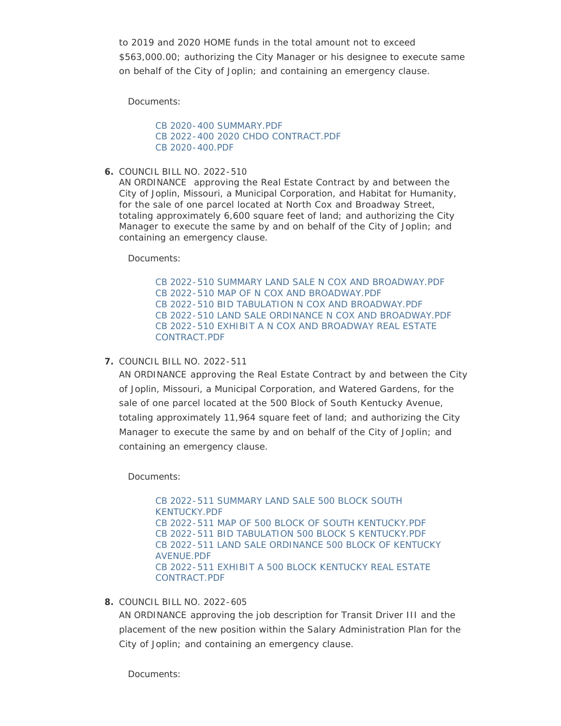to 2019 and 2020 HOME funds in the total amount not to exceed \$563,000.00; authorizing the City Manager or his designee to execute same on behalf of the City of Joplin; and containing an emergency clause.

Documents:

[CB 2020-400 SUMMARY.PDF](http://www.joplinmo.org/AgendaCenter/ViewFile/Item/8462?fileID=50606) [CB 2022-400 2020 CHDO CONTRACT.PDF](http://www.joplinmo.org/AgendaCenter/ViewFile/Item/8462?fileID=50626) [CB 2020-400.PDF](http://www.joplinmo.org/AgendaCenter/ViewFile/Item/8462?fileID=50607)

COUNCIL BILL NO. 2022-510 **6.**

AN ORDINANCE approving the Real Estate Contract by and between the City of Joplin, Missouri, a Municipal Corporation, and Habitat for Humanity, for the sale of one parcel located at North Cox and Broadway Street, totaling approximately 6,600 square feet of land; and authorizing the City Manager to execute the same by and on behalf of the City of Joplin; and containing an emergency clause.

Documents:

[CB 2022-510 SUMMARY LAND SALE N COX AND BROADWAY.PDF](http://www.joplinmo.org/AgendaCenter/ViewFile/Item/8456?fileID=50584) [CB 2022-510 MAP OF N COX AND BROADWAY.PDF](http://www.joplinmo.org/AgendaCenter/ViewFile/Item/8456?fileID=50583) [CB 2022-510 BID TABULATION N COX AND BROADWAY.PDF](http://www.joplinmo.org/AgendaCenter/ViewFile/Item/8456?fileID=50580) [CB 2022-510 LAND SALE ORDINANCE N COX AND BROADWAY.PDF](http://www.joplinmo.org/AgendaCenter/ViewFile/Item/8456?fileID=50582) [CB 2022-510 EXHIBIT A N COX AND BROADWAY REAL ESTATE](http://www.joplinmo.org/AgendaCenter/ViewFile/Item/8456?fileID=50581)  CONTRACT.PDF

COUNCIL BILL NO. 2022-511 **7.**

AN ORDINANCE approving the Real Estate Contract by and between the City of Joplin, Missouri, a Municipal Corporation, and Watered Gardens, for the sale of one parcel located at the 500 Block of South Kentucky Avenue, totaling approximately 11,964 square feet of land; and authorizing the City Manager to execute the same by and on behalf of the City of Joplin; and containing an emergency clause.

Documents:

[CB 2022-511 SUMMARY LAND SALE 500 BLOCK SOUTH](http://www.joplinmo.org/AgendaCenter/ViewFile/Item/8457?fileID=50589)  KENTUCKY.PDF [CB 2022-511 MAP OF 500 BLOCK OF SOUTH KENTUCKY.PDF](http://www.joplinmo.org/AgendaCenter/ViewFile/Item/8457?fileID=50588) [CB 2022-511 BID TABULATION 500 BLOCK S KENTUCKY.PDF](http://www.joplinmo.org/AgendaCenter/ViewFile/Item/8457?fileID=50585) [CB 2022-511 LAND SALE ORDINANCE 500 BLOCK OF KENTUCKY](http://www.joplinmo.org/AgendaCenter/ViewFile/Item/8457?fileID=50587)  AVENUE.PDF [CB 2022-511 EXHIBIT A 500 BLOCK KENTUCKY REAL ESTATE](http://www.joplinmo.org/AgendaCenter/ViewFile/Item/8457?fileID=50586)  CONTRACT.PDF

COUNCIL BILL NO. 2022-605 **8.**

AN ORDINANCE approving the job description for Transit Driver III and the placement of the new position within the Salary Administration Plan for the City of Joplin; and containing an emergency clause.

Documents: